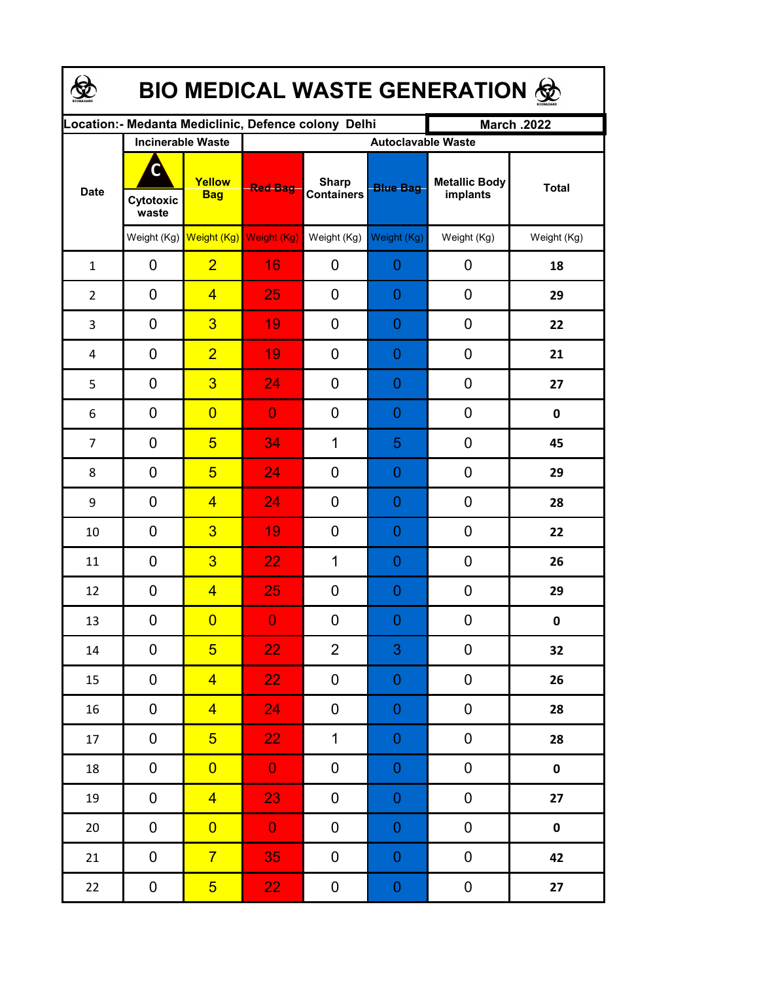| <b>BIO MEDICAL WASTE GENERATION ©</b> |                          |                                     |                                                     |                                   |                           |                                  |              |  |  |  |
|---------------------------------------|--------------------------|-------------------------------------|-----------------------------------------------------|-----------------------------------|---------------------------|----------------------------------|--------------|--|--|--|
|                                       |                          |                                     | Location:- Medanta Mediclinic, Defence colony Delhi |                                   |                           | <b>March .2022</b>               |              |  |  |  |
| <b>Date</b>                           | <b>Incinerable Waste</b> |                                     |                                                     |                                   | <b>Autoclavable Waste</b> |                                  |              |  |  |  |
|                                       | C<br>Cytotoxic<br>waste  | Yellow<br><b>Bag</b>                | <b>Red Bag</b>                                      | <b>Sharp</b><br><b>Containers</b> | <b>Blue Bag</b>           | <b>Metallic Body</b><br>implants | <b>Total</b> |  |  |  |
|                                       |                          | Weight (Kg) Weight (Kg) Weight (Kg) |                                                     | Weight (Kg)                       | Weight (Kg)               | Weight (Kg)                      | Weight (Kg)  |  |  |  |
| $\mathbf{1}$                          | 0                        | $\overline{2}$                      | 16                                                  | 0                                 | 0                         | 0                                | 18           |  |  |  |
| $\overline{2}$                        | 0                        | $\overline{4}$                      | 25                                                  | 0                                 | 0                         | 0                                | 29           |  |  |  |
| 3                                     | 0                        | $\overline{3}$                      | 19                                                  | 0                                 | 0                         | 0                                | 22           |  |  |  |
| 4                                     | 0                        | $\overline{2}$                      | 19                                                  | 0                                 | 0                         | $\mathbf 0$                      | 21           |  |  |  |
| 5                                     | 0                        | $\overline{3}$                      | 24                                                  | 0                                 | 0                         | $\mathbf 0$                      | 27           |  |  |  |
| 6                                     | 0                        | $\overline{0}$                      | $\overline{0}$                                      | 0                                 | 0                         | 0                                | $\mathbf 0$  |  |  |  |
| $\overline{7}$                        | 0                        | $5\overline{)}$                     | 34                                                  | 1                                 | 5                         | 0                                | 45           |  |  |  |
| 8                                     | 0                        | $\overline{5}$                      | 24                                                  | 0                                 | 0                         | 0                                | 29           |  |  |  |
| 9                                     | 0                        | $\overline{4}$                      | 24                                                  | 0                                 | 0                         | $\mathbf 0$                      | 28           |  |  |  |
| 10                                    | 0                        | $\overline{3}$                      | 19                                                  | 0                                 | 0                         | $\mathbf 0$                      | 22           |  |  |  |
| 11                                    | 0                        | $\overline{3}$                      | 22                                                  | $\mathbf 1$                       | 0                         | 0                                | 26           |  |  |  |
| 12                                    | 0                        | $\overline{4}$                      | 25                                                  | 0                                 | 0                         | $\mathbf 0$                      | 29           |  |  |  |
| 13                                    | 0                        | $\overline{\mathbf{0}}$             | $\overline{0}$                                      | 0                                 | $\overline{0}$            | 0                                | 0            |  |  |  |
| $14\,$                                | 0                        | 5 <sub>5</sub>                      | 22 <sub>1</sub>                                     | $\overline{2}$                    | $\mathbf{3}$              | 0                                | 32           |  |  |  |
| 15                                    | 0                        | $\overline{4}$                      | 22                                                  | 0                                 | $\boldsymbol{0}$          | 0                                | 26           |  |  |  |
| 16                                    | 0                        | $\overline{4}$                      | 24                                                  | 0                                 | $\boldsymbol{0}$          | $\boldsymbol{0}$                 | 28           |  |  |  |
| 17                                    | $\pmb{0}$                | 5 <sup>1</sup>                      | 22 <sub>1</sub>                                     | $\mathbf 1$                       | $\boldsymbol{0}$          | $\pmb{0}$                        | 28           |  |  |  |
| 18                                    | $\mathbf 0$              | $\overline{0}$                      | $\mathbf{O}$                                        | 0                                 | $\mathbf 0$               | $\pmb{0}$                        | $\mathbf 0$  |  |  |  |
| 19                                    | 0                        | $\overline{4}$                      | 23                                                  | 0                                 | $\boldsymbol{0}$          | $\pmb{0}$                        | 27           |  |  |  |
| $20\,$                                | 0                        | $\overline{0}$                      | $\mathbf{O}$                                        | 0                                 | $\boldsymbol{0}$          | $\pmb{0}$                        | $\pmb{0}$    |  |  |  |
| 21                                    | 0                        | $\overline{7}$                      | 35                                                  | 0                                 | $\boldsymbol{0}$          | $\pmb{0}$                        | 42           |  |  |  |
| 22                                    | $\mathbf 0$              | 5 <sup>5</sup>                      | 22 <sub>1</sub>                                     | 0                                 | $\boldsymbol{0}$          | $\pmb{0}$                        | 27           |  |  |  |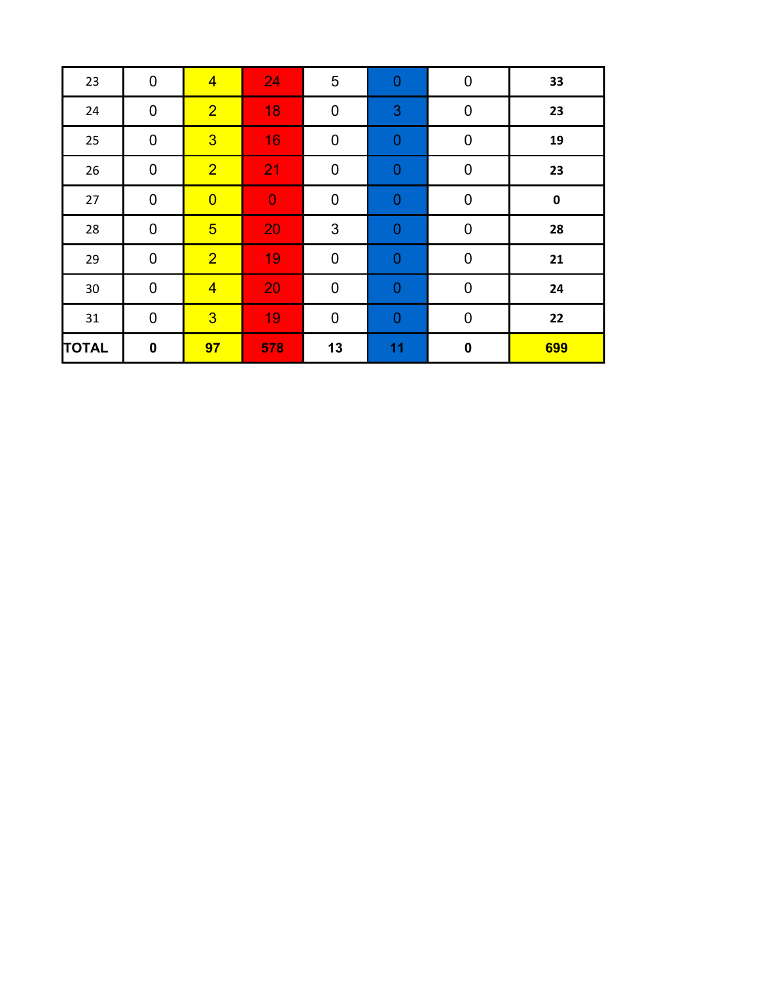| 23           | $\mathbf 0$ | $\overline{4}$ | 24             | 5                | 0              | $\mathbf 0$ | 33        |
|--------------|-------------|----------------|----------------|------------------|----------------|-------------|-----------|
| 24           | $\mathbf 0$ | $\overline{2}$ | 18             | $\pmb{0}$        | $\mathbf{3}$   | $\mathbf 0$ | 23        |
| 25           | $\mathbf 0$ | $\overline{3}$ | 16             | $\mathbf 0$      | $\overline{0}$ | $\pmb{0}$   | 19        |
| 26           | $\mathbf 0$ | $\overline{2}$ | 21             | $\mathbf 0$      | $\overline{0}$ | $\mathbf 0$ | 23        |
| 27           | $\mathbf 0$ | $\overline{0}$ | $\overline{0}$ | $\pmb{0}$        | $\overline{0}$ | $\pmb{0}$   | $\pmb{0}$ |
| 28           | $\mathbf 0$ | $\overline{5}$ | 20             | 3                | $\overline{0}$ | $\pmb{0}$   | 28        |
| 29           | $\mathbf 0$ | $\overline{2}$ | 19             | $\mathbf 0$      | 0              | $\mathbf 0$ | 21        |
| 30           | $\mathbf 0$ | $\overline{4}$ | 20             | $\boldsymbol{0}$ | $\mathbf 0$    | $\pmb{0}$   | 24        |
| 31           | $\mathbf 0$ | $\overline{3}$ | 19             | $\mathbf 0$      | $\overline{0}$ | $\mathbf 0$ | 22        |
| <b>TOTAL</b> | $\bf{0}$    | 97             | 578            | 13               | 11             | $\mathbf 0$ | 699       |